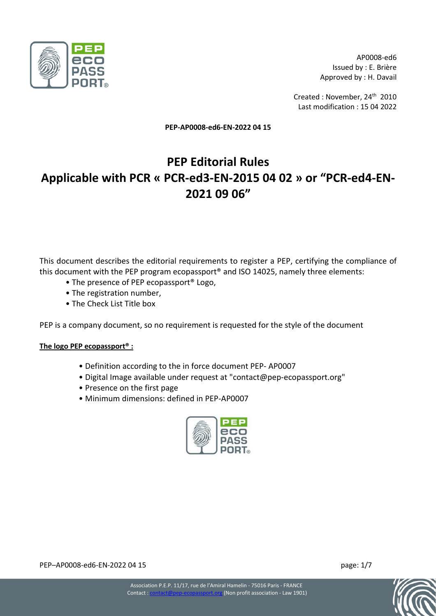

AP0008-ed6 Issued by : E. Brière Approved by : H. Davail

Created : November, 24<sup>th</sup> 2010 Last modification : 15 04 2022

**PEP-AP0008-ed6-EN-2022 04 15** 

# **PEP Editorial Rules Applicable with PCR « PCR-ed3-EN-2015 04 02 » or "PCR-ed4-EN-2021 09 06"**

This document describes the editorial requirements to register a PEP, certifying the compliance of this document with the PEP program ecopassport® and ISO 14025, namely three elements:

- The presence of PEP ecopassport® Logo,
- The registration number,
- The Check List Title box

PEP is a company document, so no requirement is requested for the style of the document

## **The logo PEP ecopassport® :**

- Definition according to the in force document PEP- AP0007
- Digital Image available under request at "contact@pep-ecopassport.org"
- Presence on the first page
- Minimum dimensions: defined in PEP-AP0007



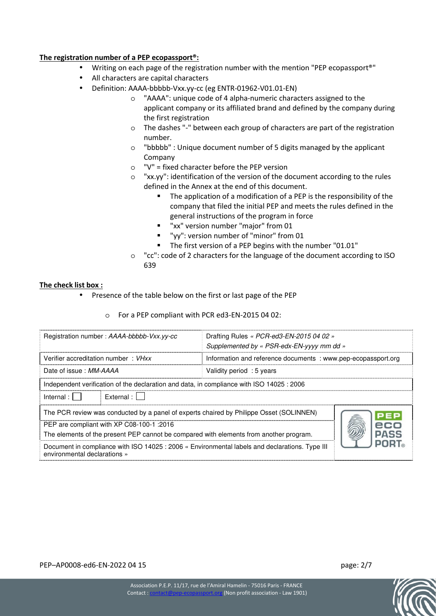## **The registration number of a PEP ecopassport®:**

- Writing on each page of the registration number with the mention "PEP ecopassport®"
- All characters are capital characters
	- Definition: AAAA-bbbbb-Vxx.yy-cc (eg ENTR-01962-V01.01-EN)
		- o "AAAA": unique code of 4 alpha-numeric characters assigned to the applicant company or its affiliated brand and defined by the company during the first registration
		- o The dashes "-" between each group of characters are part of the registration number.
		- o "bbbbb" : Unique document number of 5 digits managed by the applicant Company
		- o "V" = fixed character before the PEP version
		- o "xx.yy": identification of the version of the document according to the rules defined in the Annex at the end of this document.
			- The application of a modification of a PEP is the responsibility of the company that filed the initial PEP and meets the rules defined in the general instructions of the program in force
			- "xx" version number "major" from 01
			- "yy": version number of "minor" from 01
			- The first version of a PEP begins with the number "01.01"
		- o "cc": code of 2 characters for the language of the document according to ISO 639

#### **The check list box :**

- Presence of the table below on the first or last page of the PEP
	- o For a PEP compliant with PCR ed3-EN-2015 04 02:

| Registration number: AAAA-bbbbb-Vxx.yy-cc                                                                                                     | Drafting Rules « PCR-ed3-EN-2015 04 02 »<br>Supplemented by « PSR-edx-EN-yyyy mm dd » |  |  |  |  |  |
|-----------------------------------------------------------------------------------------------------------------------------------------------|---------------------------------------------------------------------------------------|--|--|--|--|--|
| Verifier accreditation number: VHxx                                                                                                           | Information and reference documents : www.pep-ecopassport.org                         |  |  |  |  |  |
| Date of issue: MM-AAAA                                                                                                                        | Validity period: 5 years                                                              |  |  |  |  |  |
| Independent verification of the declaration and data, in compliance with ISO 14025 : 2006                                                     |                                                                                       |  |  |  |  |  |
| External :    <br>Internal :                                                                                                                  |                                                                                       |  |  |  |  |  |
| The PCR review was conducted by a panel of experts chaired by Philippe Osset (SOLINNEN)<br>PEP                                                |                                                                                       |  |  |  |  |  |
| 2016: PEP are compliant with XP C08-100-1                                                                                                     |                                                                                       |  |  |  |  |  |
| <b>PASS</b><br>The elements of the present PEP cannot be compared with elements from another program.                                         |                                                                                       |  |  |  |  |  |
| <b>PORT</b><br>Document in compliance with ISO 14025 : 2006 « Environmental labels and declarations. Type III<br>environmental declarations » |                                                                                       |  |  |  |  |  |

PEP–AP0008-ed6-EN-2022 04 15 page: 2/7

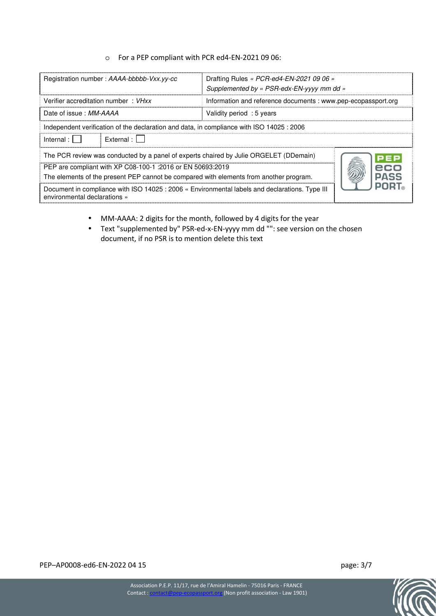#### o For a PEP compliant with PCR ed4-EN-2021 09 06:

| Registration number: AAAA-bbbbb-Vxx.yy-cc                                                                                              | Drafting Rules « PCR-ed4-EN-2021 09 06 »<br>Supplemented by « PSR-edx-EN-yyyy mm dd » |  |  |  |  |  |
|----------------------------------------------------------------------------------------------------------------------------------------|---------------------------------------------------------------------------------------|--|--|--|--|--|
| Verifier accreditation number: VHxx                                                                                                    | Information and reference documents : www.pep-ecopassport.org                         |  |  |  |  |  |
| Date of issue: MM-AAAA                                                                                                                 | Validity period: 5 years                                                              |  |  |  |  |  |
| Independent verification of the declaration and data, in compliance with ISO 14025 : 2006                                              |                                                                                       |  |  |  |  |  |
| External :    <br>Internal : $\mathsf{I}$                                                                                              |                                                                                       |  |  |  |  |  |
| The PCR review was conducted by a panel of experts chaired by Julie ORGELET (DDemain)<br>PEP                                           |                                                                                       |  |  |  |  |  |
| PEP are compliant with XP C08-100-1 :2016 or EN 50693:2019<br>ecc                                                                      |                                                                                       |  |  |  |  |  |
| <b>PASS</b><br>The elements of the present PEP cannot be compared with elements from another program.                                  |                                                                                       |  |  |  |  |  |
| POR'<br>Document in compliance with ISO 14025 : 2006 « Environmental labels and declarations. Type III<br>environmental declarations » |                                                                                       |  |  |  |  |  |

- MM-AAAA: 2 digits for the month, followed by 4 digits for the year
- Text "supplemented by" PSR-ed-x-EN-yyyy mm dd "": see version on the chosen document, if no PSR is to mention delete this text

PEP–AP0008-ed6-EN-2022 04 15 page: 3/7

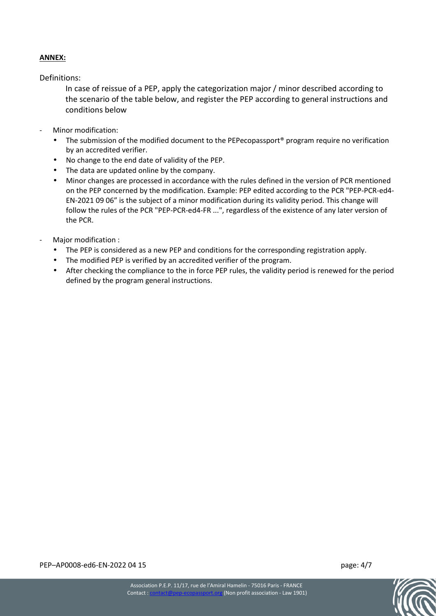# **ANNEX:**

Definitions:

In case of reissue of a PEP, apply the categorization major / minor described according to the scenario of the table below, and register the PEP according to general instructions and conditions below

- Minor modification:
	- The submission of the modified document to the PEPecopassport<sup>®</sup> program require no verification by an accredited verifier.
	- No change to the end date of validity of the PEP.
	- The data are updated online by the company.
	- Minor changes are processed in accordance with the rules defined in the version of PCR mentioned on the PEP concerned by the modification. Example: PEP edited according to the PCR "PEP-PCR-ed4- EN-2021 09 06" is the subject of a minor modification during its validity period. This change will follow the rules of the PCR "PEP-PCR-ed4-FR ...", regardless of the existence of any later version of the PCR.
- Major modification :
	- The PEP is considered as a new PEP and conditions for the corresponding registration apply.
	- The modified PEP is verified by an accredited verifier of the program.
	- After checking the compliance to the in force PEP rules, the validity period is renewed for the period defined by the program general instructions.

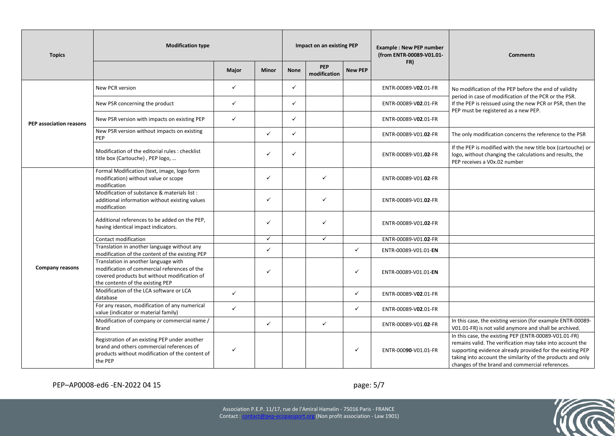| <b>Topics</b>           | <b>Modification type</b>                                                                                                                                                 |              |              | Impact on an existing PEP |                            |                | <b>Example: New PEP number</b><br>(from ENTR-00089-V01.01- | <b>Comments</b>                                                                                                                                                                                                                                                                                   |
|-------------------------|--------------------------------------------------------------------------------------------------------------------------------------------------------------------------|--------------|--------------|---------------------------|----------------------------|----------------|------------------------------------------------------------|---------------------------------------------------------------------------------------------------------------------------------------------------------------------------------------------------------------------------------------------------------------------------------------------------|
|                         |                                                                                                                                                                          | Major        | Minor        | <b>None</b>               | <b>PEP</b><br>modification | <b>New PEP</b> | FR)                                                        |                                                                                                                                                                                                                                                                                                   |
| PEP association reasons | New PCR version                                                                                                                                                          | $\checkmark$ |              | $\checkmark$              |                            |                | ENTR-00089-V02.01-FR                                       | No modification of the PEP before the end of validity<br>period in case of modification of the PCR or the PSR.<br>If the PEP is reissued using the new PCR or PSR, then the<br>PEP must be registered as a new PEP.                                                                               |
|                         | New PSR concerning the product                                                                                                                                           | $\checkmark$ |              | $\checkmark$              |                            |                | ENTR-00089-V02.01-FR                                       |                                                                                                                                                                                                                                                                                                   |
|                         | New PSR version with impacts on existing PEP                                                                                                                             | $\checkmark$ |              | $\checkmark$              |                            |                | ENTR-00089-V02.01-FR                                       |                                                                                                                                                                                                                                                                                                   |
|                         | New PSR version without impacts on existing<br>PEP                                                                                                                       |              | $\checkmark$ | $\checkmark$              |                            |                | ENTR-00089-V01.02-FR                                       | The only modification concerns the reference to the PSR                                                                                                                                                                                                                                           |
|                         | Modification of the editorial rules : checklist<br>title box (Cartouche), PEP logo,                                                                                      |              | $\checkmark$ | $\checkmark$              |                            |                | ENTR-00089-V01.02-FR                                       | If the PEP is modified with the new title box (cartouche) or<br>logo, without changing the calculations and results, the<br>PEP receives a V0x.02 number                                                                                                                                          |
|                         | Formal Modification (text, image, logo form<br>modification) without value or scope<br>modification                                                                      |              | $\checkmark$ |                           | $\checkmark$               |                | ENTR-00089-V01.02-FR                                       |                                                                                                                                                                                                                                                                                                   |
|                         | Modification of substance & materials list :<br>additional information without existing values<br>modification                                                           |              | $\checkmark$ |                           | $\checkmark$               |                | ENTR-00089-V01.02-FR                                       |                                                                                                                                                                                                                                                                                                   |
|                         | Additional references to be added on the PEP,<br>having identical impact indicators.                                                                                     |              | $\checkmark$ |                           | $\checkmark$               |                | ENTR-00089-V01.02-FR                                       |                                                                                                                                                                                                                                                                                                   |
|                         | Contact modification                                                                                                                                                     |              | $\checkmark$ |                           | $\checkmark$               |                | ENTR-00089-V01.02-FR                                       |                                                                                                                                                                                                                                                                                                   |
| <b>Company reasons</b>  | Translation in another language without any<br>modification of the content of the existing PEP                                                                           |              | $\checkmark$ |                           |                            | $\checkmark$   | ENTR-00089-V01.01-EN                                       |                                                                                                                                                                                                                                                                                                   |
|                         | Translation in another language with<br>modification of commercial references of the<br>covered products but without modification of<br>the contentn of the existing PEP |              | $\checkmark$ |                           |                            | $\checkmark$   | ENTR-00089-V01.01-EN                                       |                                                                                                                                                                                                                                                                                                   |
|                         | Modification of the LCA software or LCA<br>database                                                                                                                      | $\checkmark$ |              |                           |                            | $\checkmark$   | ENTR-00089-V02.01-FR                                       |                                                                                                                                                                                                                                                                                                   |
|                         | For any reason, modification of any numerical<br>value (indicator or material family)                                                                                    | $\checkmark$ |              |                           |                            | $\checkmark$   | ENTR-00089-V02.01-FR                                       |                                                                                                                                                                                                                                                                                                   |
|                         | Modification of company or commercial name /<br><b>Brand</b>                                                                                                             |              | $\checkmark$ |                           | $\checkmark$               |                | ENTR-00089-V01.02-FR                                       | In this case, the existing version (for example ENTR-00089-<br>V01.01-FR) is not valid anymore and shall be archived.                                                                                                                                                                             |
|                         | Registration of an existing PEP under another<br>brand and others commercial references of<br>products without modification of the content of<br>the PEP                 | $\checkmark$ |              |                           |                            | ✓              | ENTR-00090-V01.01-FR                                       | In this case, the existing PEP (ENTR-00089-V01.01-FR)<br>remains valid. The verification may take into account the<br>supporting evidence already provided for the existing PEP<br>taking into account the similarity of the products and only<br>changes of the brand and commercial references. |

# PEP–AP0008-ed6 -EN-2022 04 15 page: 5/7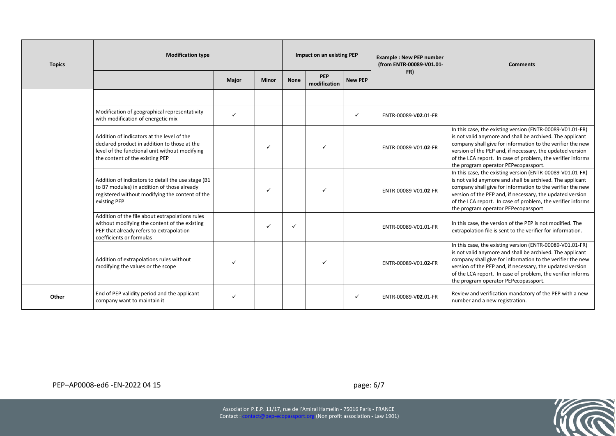| <b>Topics</b> | <b>Modification type</b>                                                                                                                                                        |              |              | Impact on an existing PEP |                     |                | <b>Example: New PEP number</b><br>(from ENTR-00089-V01.01- | <b>Comments</b>                                                                                                                                                                                                                                                                                                                                          |
|---------------|---------------------------------------------------------------------------------------------------------------------------------------------------------------------------------|--------------|--------------|---------------------------|---------------------|----------------|------------------------------------------------------------|----------------------------------------------------------------------------------------------------------------------------------------------------------------------------------------------------------------------------------------------------------------------------------------------------------------------------------------------------------|
|               |                                                                                                                                                                                 | Major        | <b>Minor</b> | <b>None</b>               | PEP<br>modification | <b>New PEP</b> | FR)                                                        |                                                                                                                                                                                                                                                                                                                                                          |
|               |                                                                                                                                                                                 |              |              |                           |                     |                |                                                            |                                                                                                                                                                                                                                                                                                                                                          |
|               | Modification of geographical representativity<br>with modification of energetic mix                                                                                             | $\checkmark$ |              |                           |                     | $\checkmark$   | ENTR-00089-V02.01-FR                                       |                                                                                                                                                                                                                                                                                                                                                          |
|               | Addition of indicators at the level of the<br>declared product in addition to those at the<br>level of the functional unit without modifying<br>the content of the existing PEP |              |              |                           |                     |                | ENTR-00089-V01.02-FR                                       | In this case, the existing version (ENTR-00089-V01.01-FR)<br>is not valid anymore and shall be archived. The applicant<br>company shall give for information to the verifier the new<br>version of the PEP and, if necessary, the updated version<br>of the LCA report. In case of problem, the verifier informs<br>the program operator PEPecopassport. |
|               | Addition of indicators to detail the use stage (B1<br>to B7 modules) in addition of those already<br>registered without modifying the content of the<br>existing PEP            |              | ✓            |                           |                     |                | ENTR-00089-V01.02-FR                                       | In this case, the existing version (ENTR-00089-V01.01-FR)<br>is not valid anymore and shall be archived. The applicant<br>company shall give for information to the verifier the new<br>version of the PEP and, if necessary, the updated version<br>of the LCA report. In case of problem, the verifier informs<br>the program operator PEPecopassport  |
|               | Addition of the file about extrapolations rules<br>without modifying the content of the existing<br>PEP that already refers to extrapolation<br>coefficients or formulas        |              | ✓            |                           |                     |                | ENTR-00089-V01.01-FR                                       | In this case, the version of the PEP is not modified. The<br>extrapolation file is sent to the verifier for information.                                                                                                                                                                                                                                 |
|               | Addition of extrapolations rules without<br>modifying the values or the scope                                                                                                   |              |              |                           |                     |                | ENTR-00089-V01.02-FR                                       | In this case, the existing version (ENTR-00089-V01.01-FR)<br>is not valid anymore and shall be archived. The applicant<br>company shall give for information to the verifier the new<br>version of the PEP and, if necessary, the updated version<br>of the LCA report. In case of problem, the verifier informs<br>the program operator PEPecopassport. |
| Other         | End of PEP validity period and the applicant<br>company want to maintain it                                                                                                     |              |              |                           |                     | ✓              | ENTR-00089-V02.01-FR                                       | Review and verification mandatory of the PEP with a new<br>number and a new registration.                                                                                                                                                                                                                                                                |